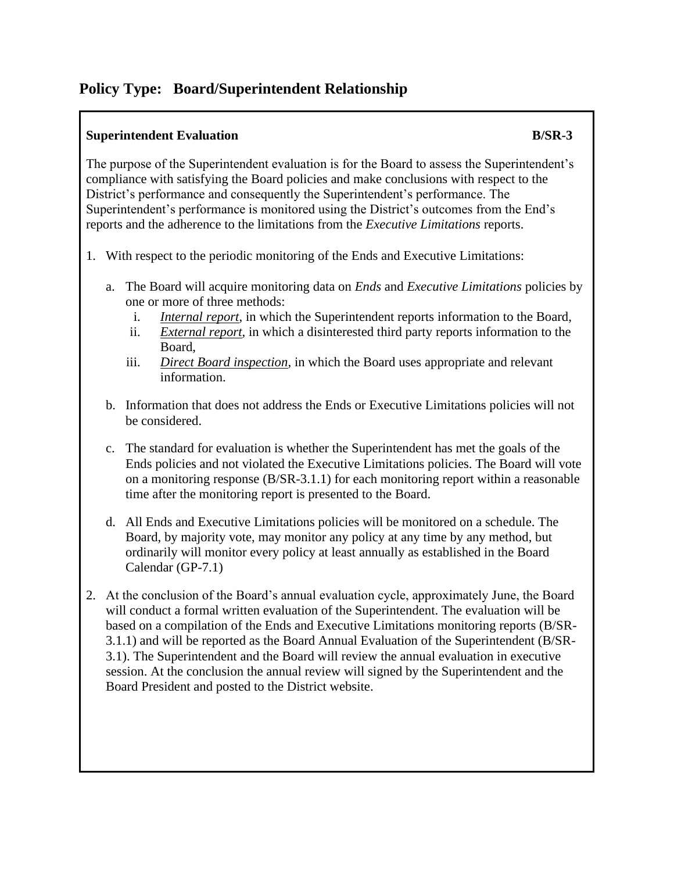## **Policy Type: Board/Superintendent Relationship**

## **Superintendent Evaluation B**/SR-3

The purpose of the Superintendent evaluation is for the Board to assess the Superintendent's compliance with satisfying the Board policies and make conclusions with respect to the District's performance and consequently the Superintendent's performance. The Superintendent's performance is monitored using the District's outcomes from the End's reports and the adherence to the limitations from the *Executive Limitations* reports.

- 1. With respect to the periodic monitoring of the Ends and Executive Limitations:
	- a. The Board will acquire monitoring data on *Ends* and *Executive Limitations* policies by one or more of three methods:
		- i. *Internal report*, in which the Superintendent reports information to the Board,
		- ii. *External report*, in which a disinterested third party reports information to the Board,
		- iii. *Direct Board inspection*, in which the Board uses appropriate and relevant information.
	- b. Information that does not address the Ends or Executive Limitations policies will not be considered.
	- c. The standard for evaluation is whether the Superintendent has met the goals of the Ends policies and not violated the Executive Limitations policies. The Board will vote on a monitoring response (B/SR-3.1.1) for each monitoring report within a reasonable time after the monitoring report is presented to the Board.
	- d. All Ends and Executive Limitations policies will be monitored on a schedule. The Board, by majority vote, may monitor any policy at any time by any method, but ordinarily will monitor every policy at least annually as established in the Board Calendar (GP-7.1)
- 2. At the conclusion of the Board's annual evaluation cycle, approximately June, the Board will conduct a formal written evaluation of the Superintendent. The evaluation will be based on a compilation of the Ends and Executive Limitations monitoring reports (B/SR-3.1.1) and will be reported as the Board Annual Evaluation of the Superintendent (B/SR-3.1). The Superintendent and the Board will review the annual evaluation in executive session. At the conclusion the annual review will signed by the Superintendent and the Board President and posted to the District website.